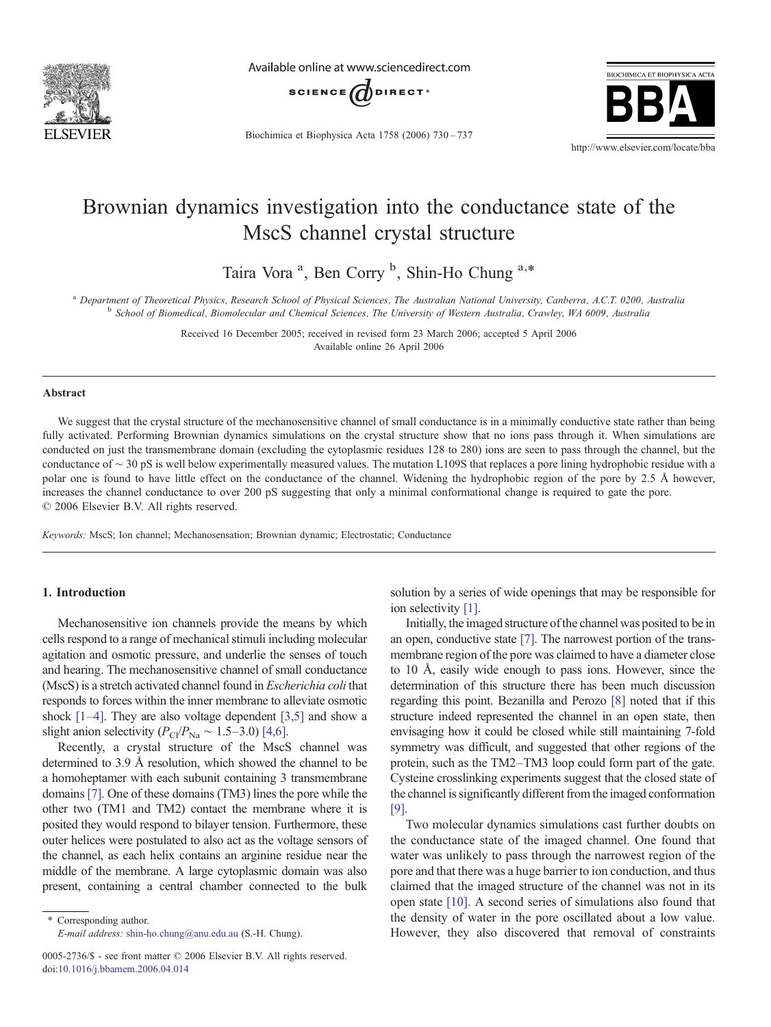

Available online at www.sciencedirect.com



Biochimica et Biophysica Acta 1758 (2006) 730–737



# Brownian dynamics investigation into the conductance state of the MscS channel crystal structure

Taira Vora<sup>a</sup>, Ben Corry<sup>b</sup>, Shin-Ho Chung<sup>a,\*</sup>

<sup>a</sup> Department of Theoretical Physics, Research School of Physical Sciences, The Australian National University, Canberra, A.C.T. 0200, Australia b<br><sup>b</sup> School of Biomedical, Biomolecular and Chemical Sciences, The Universi

Received 16 December 2005; received in revised form 23 March 2006; accepted 5 April 2006 Available online 26 April 2006

### Abstract

We suggest that the crystal structure of the mechanosensitive channel of small conductance is in a minimally conductive state rather than being fully activated. Performing Brownian dynamics simulations on the crystal structure show that no ions pass through it. When simulations are conducted on just the transmembrane domain (excluding the cytoplasmic residues 128 to 280) ions are seen to pass through the channel, but the conductance of ∼ 30 pS is well below experimentally measured values. The mutation L109S that replaces a pore lining hydrophobic residue with a polar one is found to have little effect on the conductance of the channel. Widening the hydrophobic region of the pore by 2.5 Å however, increases the channel conductance to over 200 pS suggesting that only a minimal conformational change is required to gate the pore. © 2006 Elsevier B.V. All rights reserved.

Keywords: MscS; Ion channel; Mechanosensation; Brownian dynamic; Electrostatic; Conductance

# 1. Introduction

Mechanosensitive ion channels provide the means by which cells respond to a range of mechanical stimuli including molecular agitation and osmotic pressure, and underlie the senses of touch and hearing. The mechanosensitive channel of small conductance (MscS) is a stretch activated channel found in Escherichia coli that responds to forces within the inner membrane to alleviate osmotic shock  $[1-4]$  $[1-4]$ . They are also voltage dependent  $[3,5]$  and show a slight anion selectivity ( $P_{\text{Cl}}/P_{\text{Na}} \sim 1.5-3.0$ ) [\[4,6\].](#page-6-0)

Recently, a crystal structure of the MscS channel was determined to 3.9 Å resolution, which showed the channel to be a homoheptamer with each subunit containing 3 transmembrane domains [\[7\]](#page-6-0). One of these domains (TM3) lines the pore while the other two (TM1 and TM2) contact the membrane where it is posited they would respond to bilayer tension. Furthermore, these outer helices were postulated to also act as the voltage sensors of the channel, as each helix contains an arginine residue near the middle of the membrane. A large cytoplasmic domain was also present, containing a central chamber connected to the bulk

⁎ Corresponding author. E-mail address: [shin-ho.chung@anu.edu.au](mailto:shino.chung@anu.edu.au) (S.-H. Chung).

0005-2736/\$ - see front matter © 2006 Elsevier B.V. All rights reserved. doi:[10.1016/j.bbamem.2006.04.014](http://dx.doi.org/10.1016/j.bbamem.2006.04.014)

solution by a series of wide openings that may be responsible for ion selectivity [\[1\]](#page-6-0).

Initially, the imaged structure of the channel was posited to be in an open, conductive state [\[7\].](#page-6-0) The narrowest portion of the transmembrane region of the pore was claimed to have a diameter close to 10 Å, easily wide enough to pass ions. However, since the determination of this structure there has been much discussion regarding this point. Bezanilla and Perozo [\[8\]](#page-6-0) noted that if this structure indeed represented the channel in an open state, then envisaging how it could be closed while still maintaining 7-fold symmetry was difficult, and suggested that other regions of the protein, such as the TM2–TM3 loop could form part of the gate. Cysteine crosslinking experiments suggest that the closed state of the channel is significantly different from the imaged conformation [\[9\].](#page-6-0)

Two molecular dynamics simulations cast further doubts on the conductance state of the imaged channel. One found that water was unlikely to pass through the narrowest region of the pore and that there was a huge barrier to ion conduction, and thus claimed that the imaged structure of the channel was not in its open state [\[10\]](#page-6-0). A second series of simulations also found that the density of water in the pore oscillated about a low value. However, they also discovered that removal of constraints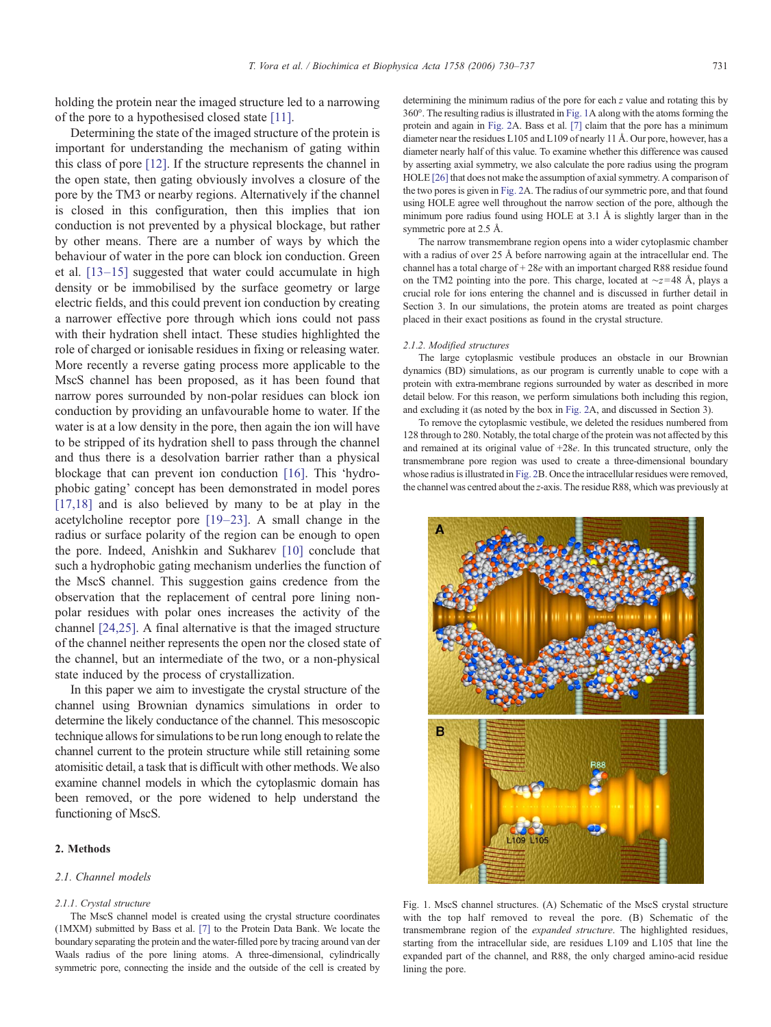holding the protein near the imaged structure led to a narrowing of the pore to a hypothesised closed state [\[11\]](#page-6-0).

Determining the state of the imaged structure of the protein is important for understanding the mechanism of gating within this class of pore [\[12\].](#page-6-0) If the structure represents the channel in the open state, then gating obviously involves a closure of the pore by the TM3 or nearby regions. Alternatively if the channel is closed in this configuration, then this implies that ion conduction is not prevented by a physical blockage, but rather by other means. There are a number of ways by which the behaviour of water in the pore can block ion conduction. Green et al. [13–[15\]](#page-6-0) suggested that water could accumulate in high density or be immobilised by the surface geometry or large electric fields, and this could prevent ion conduction by creating a narrower effective pore through which ions could not pass with their hydration shell intact. These studies highlighted the role of charged or ionisable residues in fixing or releasing water. More recently a reverse gating process more applicable to the MscS channel has been proposed, as it has been found that narrow pores surrounded by non-polar residues can block ion conduction by providing an unfavourable home to water. If the water is at a low density in the pore, then again the ion will have to be stripped of its hydration shell to pass through the channel and thus there is a desolvation barrier rather than a physical blockage that can prevent ion conduction [\[16\].](#page-6-0) This 'hydrophobic gating' concept has been demonstrated in model pores [\[17,18\]](#page-6-0) and is also believed by many to be at play in the acetylcholine receptor pore [\[19](#page-6-0)–23]. A small change in the radius or surface polarity of the region can be enough to open the pore. Indeed, Anishkin and Sukharev [\[10\]](#page-6-0) conclude that such a hydrophobic gating mechanism underlies the function of the MscS channel. This suggestion gains credence from the observation that the replacement of central pore lining nonpolar residues with polar ones increases the activity of the channel [\[24,25\].](#page-6-0) A final alternative is that the imaged structure of the channel neither represents the open nor the closed state of the channel, but an intermediate of the two, or a non-physical state induced by the process of crystallization.

In this paper we aim to investigate the crystal structure of the channel using Brownian dynamics simulations in order to determine the likely conductance of the channel. This mesoscopic technique allows for simulations to be run long enough to relate the channel current to the protein structure while still retaining some atomisitic detail, a task that is difficult with other methods. We also examine channel models in which the cytoplasmic domain has been removed, or the pore widened to help understand the functioning of MscS.

### 2. Methods

#### 2.1. Channel models

#### 2.1.1. Crystal structure

The MscS channel model is created using the crystal structure coordinates (1MXM) submitted by Bass et al. [\[7\]](#page-6-0) to the Protein Data Bank. We locate the boundary separating the protein and the water-filled pore by tracing around van der Waals radius of the pore lining atoms. A three-dimensional, cylindrically symmetric pore, connecting the inside and the outside of the cell is created by

determining the minimum radius of the pore for each z value and rotating this by 360°. The resulting radius is illustrated in Fig. 1A along with the atoms forming the protein and again in [Fig. 2A](#page-2-0). Bass et al. [\[7\]](#page-6-0) claim that the pore has a minimum diameter near the residues L105 and L109 of nearly 11 Å. Our pore, however, has a diameter nearly half of this value. To examine whether this difference was caused by asserting axial symmetry, we also calculate the pore radius using the program HOLE [\[26\]](#page-6-0) that does not make the assumption of axial symmetry. A comparison of the two pores is given in [Fig. 2A](#page-2-0). The radius of our symmetric pore, and that found using HOLE agree well throughout the narrow section of the pore, although the minimum pore radius found using HOLE at 3.1 Å is slightly larger than in the symmetric pore at 2.5 Å.

The narrow transmembrane region opens into a wider cytoplasmic chamber with a radius of over 25 Å before narrowing again at the intracellular end. The channel has a total charge of + 28e with an important charged R88 residue found on the TM2 pointing into the pore. This charge, located at ∼z= 48 Å, plays a crucial role for ions entering the channel and is discussed in further detail in Section 3. In our simulations, the protein atoms are treated as point charges placed in their exact positions as found in the crystal structure.

#### 2.1.2. Modified structures

The large cytoplasmic vestibule produces an obstacle in our Brownian dynamics (BD) simulations, as our program is currently unable to cope with a protein with extra-membrane regions surrounded by water as described in more detail below. For this reason, we perform simulations both including this region, and excluding it (as noted by the box in [Fig. 2](#page-2-0)A, and discussed in Section 3).

To remove the cytoplasmic vestibule, we deleted the residues numbered from 128 through to 280. Notably, the total charge of the protein was not affected by this and remained at its original value of  $+28e$ . In this truncated structure, only the transmembrane pore region was used to create a three-dimensional boundary whose radius is illustrated in [Fig. 2B](#page-2-0). Once the intracellular residues were removed, the channel was centred about the z-axis. The residue R88, which was previously at



Fig. 1. MscS channel structures. (A) Schematic of the MscS crystal structure with the top half removed to reveal the pore. (B) Schematic of the transmembrane region of the expanded structure. The highlighted residues, starting from the intracellular side, are residues L109 and L105 that line the expanded part of the channel, and R88, the only charged amino-acid residue lining the pore.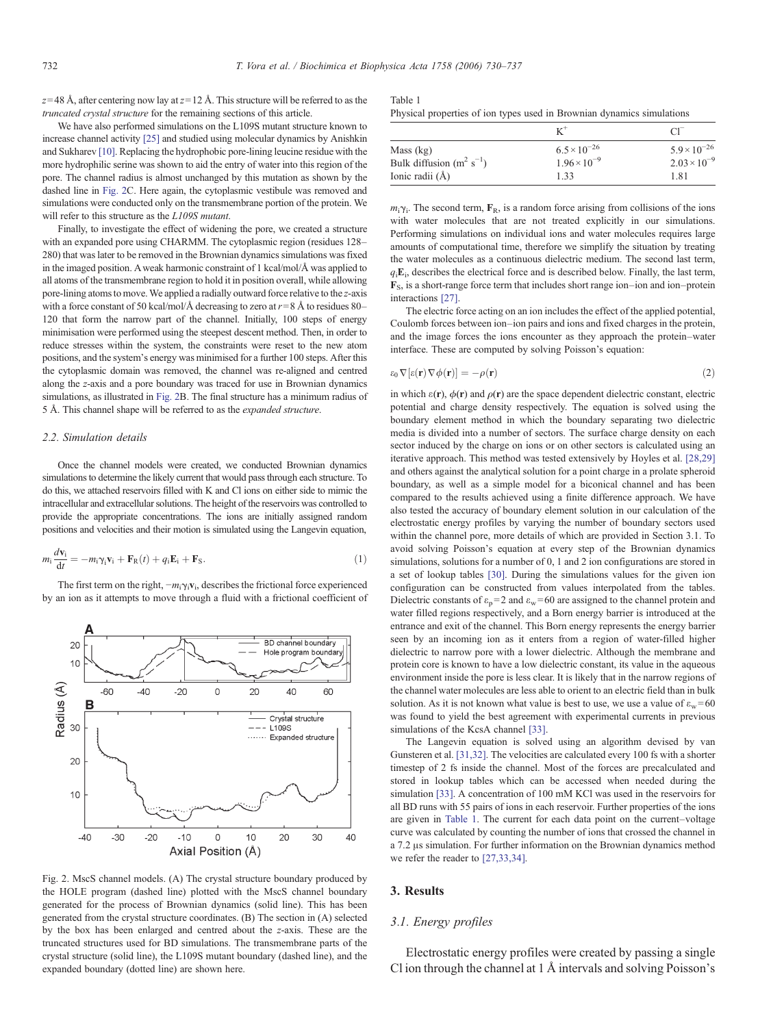<span id="page-2-0"></span> $z=$  48 Å, after centering now lay at  $z=$  12 Å. This structure will be referred to as the truncated crystal structure for the remaining sections of this article.

We have also performed simulations on the L109S mutant structure known to increase channel activity [\[25\]](#page-6-0) and studied using molecular dynamics by Anishkin and Sukharev [\[10\].](#page-6-0) Replacing the hydrophobic pore-lining leucine residue with the more hydrophilic serine was shown to aid the entry of water into this region of the pore. The channel radius is almost unchanged by this mutation as shown by the dashed line in Fig. 2C. Here again, the cytoplasmic vestibule was removed and simulations were conducted only on the transmembrane portion of the protein. We will refer to this structure as the L109S mutant.

Finally, to investigate the effect of widening the pore, we created a structure with an expanded pore using CHARMM. The cytoplasmic region (residues 128– 280) that was later to be removed in the Brownian dynamics simulations was fixed in the imaged position. Aweak harmonic constraint of 1 kcal/mol/Å was applied to all atoms of the transmembrane region to hold it in position overall, while allowing pore-lining atoms to move.We applied a radially outward force relative to the z-axis with a force constant of 50 kcal/mol/Å decreasing to zero at  $r=8$  Å to residues 80– 120 that form the narrow part of the channel. Initially, 100 steps of energy minimisation were performed using the steepest descent method. Then, in order to reduce stresses within the system, the constraints were reset to the new atom positions, and the system's energy was minimised for a further 100 steps. After this the cytoplasmic domain was removed, the channel was re-aligned and centred along the z-axis and a pore boundary was traced for use in Brownian dynamics simulations, as illustrated in Fig. 2B. The final structure has a minimum radius of 5 Å. This channel shape will be referred to as the expanded structure.

## 2.2. Simulation details

Once the channel models were created, we conducted Brownian dynamics simulations to determine the likely current that would pass through each structure. To do this, we attached reservoirs filled with K and Cl ions on either side to mimic the intracellular and extracellular solutions. The height of the reservoirs was controlled to provide the appropriate concentrations. The ions are initially assigned random positions and velocities and their motion is simulated using the Langevin equation,

$$
m_i \frac{d\mathbf{v}_i}{dt} = -m_i \gamma_i \mathbf{v}_i + \mathbf{F}_R(t) + q_i \mathbf{E}_i + \mathbf{F}_S.
$$
 (1)

The first term on the right,  $-m_i\gamma_i v_i$ , describes the frictional force experienced by an ion as it attempts to move through a fluid with a frictional coefficient of



Fig. 2. MscS channel models. (A) The crystal structure boundary produced by the HOLE program (dashed line) plotted with the MscS channel boundary generated for the process of Brownian dynamics (solid line). This has been generated from the crystal structure coordinates. (B) The section in (A) selected by the box has been enlarged and centred about the z-axis. These are the truncated structures used for BD simulations. The transmembrane parts of the crystal structure (solid line), the L109S mutant boundary (dashed line), and the expanded boundary (dotted line) are shown here.

| Table 1                                                                |  |  |  |
|------------------------------------------------------------------------|--|--|--|
| Physical properties of ion types used in Brownian dynamics simulations |  |  |  |

|                                            |                                                | CI.                                            |
|--------------------------------------------|------------------------------------------------|------------------------------------------------|
| Mass (kg)<br>Bulk diffusion $(m^2 s^{-1})$ | $6.5 \times 10^{-26}$<br>$1.96 \times 10^{-9}$ | $5.9 \times 10^{-26}$<br>$2.03 \times 10^{-9}$ |
| Ionic radii (Å)                            | 1 33                                           | 181                                            |

 $m_i \gamma_i$ . The second term,  $\mathbf{F}_R$ , is a random force arising from collisions of the ions with water molecules that are not treated explicitly in our simulations. Performing simulations on individual ions and water molecules requires large amounts of computational time, therefore we simplify the situation by treating the water molecules as a continuous dielectric medium. The second last term,  $q_iE_i$ , describes the electrical force and is described below. Finally, the last term, FS, is a short-range force term that includes short range ion–ion and ion–protein interactions [\[27\].](#page-6-0)

The electric force acting on an ion includes the effect of the applied potential, Coulomb forces between ion–ion pairs and ions and fixed charges in the protein, and the image forces the ions encounter as they approach the protein–water interface. These are computed by solving Poisson's equation:

$$
\varepsilon_0 \nabla [\varepsilon(\mathbf{r}) \nabla \phi(\mathbf{r})] = -\rho(\mathbf{r}) \tag{2}
$$

in which  $\varepsilon(\mathbf{r})$ ,  $\phi(\mathbf{r})$  and  $\rho(\mathbf{r})$  are the space dependent dielectric constant, electric potential and charge density respectively. The equation is solved using the boundary element method in which the boundary separating two dielectric media is divided into a number of sectors. The surface charge density on each sector induced by the charge on ions or on other sectors is calculated using an iterative approach. This method was tested extensively by Hoyles et al. [\[28,29\]](#page-6-0) and others against the analytical solution for a point charge in a prolate spheroid boundary, as well as a simple model for a biconical channel and has been compared to the results achieved using a finite difference approach. We have also tested the accuracy of boundary element solution in our calculation of the electrostatic energy profiles by varying the number of boundary sectors used within the channel pore, more details of which are provided in Section 3.1. To avoid solving Poisson's equation at every step of the Brownian dynamics simulations, solutions for a number of 0, 1 and 2 ion configurations are stored in a set of lookup tables [\[30\]](#page-6-0). During the simulations values for the given ion configuration can be constructed from values interpolated from the tables. Dielectric constants of  $\varepsilon_p = 2$  and  $\varepsilon_w = 60$  are assigned to the channel protein and water filled regions respectively, and a Born energy barrier is introduced at the entrance and exit of the channel. This Born energy represents the energy barrier seen by an incoming ion as it enters from a region of water-filled higher dielectric to narrow pore with a lower dielectric. Although the membrane and protein core is known to have a low dielectric constant, its value in the aqueous environment inside the pore is less clear. It is likely that in the narrow regions of the channel water molecules are less able to orient to an electric field than in bulk solution. As it is not known what value is best to use, we use a value of  $\varepsilon_w = 60$ was found to yield the best agreement with experimental currents in previous simulations of the KcsA channel [\[33\].](#page-7-0)

The Langevin equation is solved using an algorithm devised by van Gunsteren et al. [\[31,32\].](#page-6-0) The velocities are calculated every 100 fs with a shorter timestep of 2 fs inside the channel. Most of the forces are precalculated and stored in lookup tables which can be accessed when needed during the simulation [\[33\]](#page-7-0). A concentration of 100 mM KCl was used in the reservoirs for all BD runs with 55 pairs of ions in each reservoir. Further properties of the ions are given in Table 1. The current for each data point on the current–voltage curve was calculated by counting the number of ions that crossed the channel in a 7.2 μs simulation. For further information on the Brownian dynamics method we refer the reader to [\[27,33,34\].](#page-6-0)

# 3. Results

#### 3.1. Energy profiles

Electrostatic energy profiles were created by passing a single Cl ion through the channel at 1 Å intervals and solving Poisson's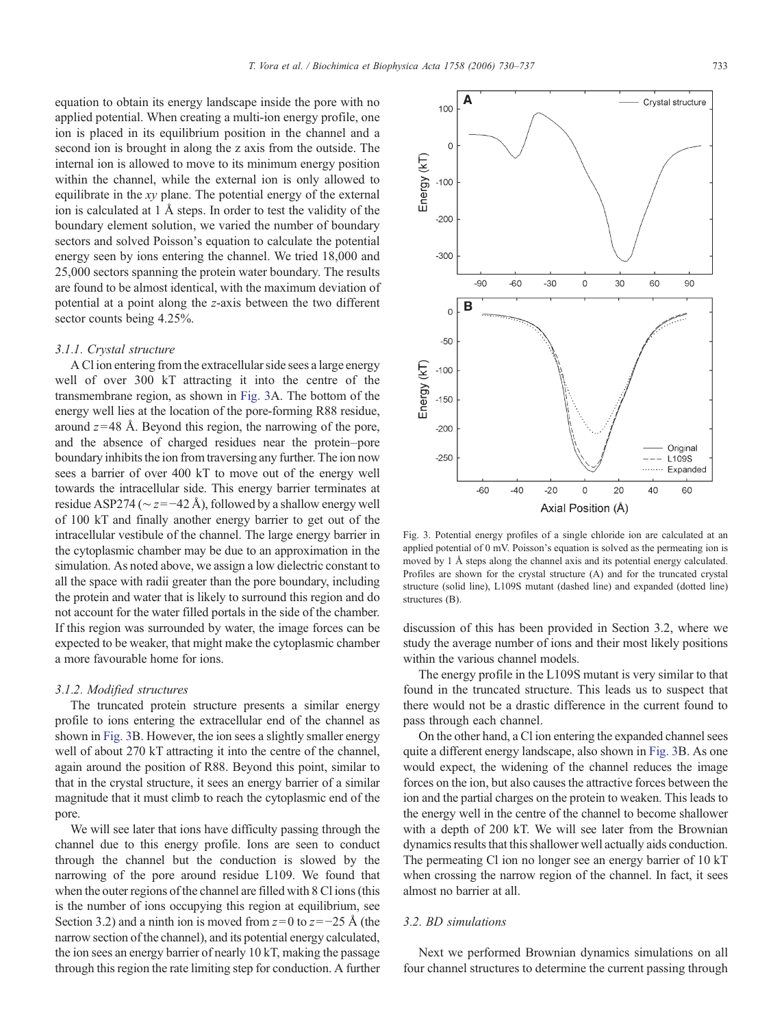<span id="page-3-0"></span>equation to obtain its energy landscape inside the pore with no applied potential. When creating a multi-ion energy profile, one ion is placed in its equilibrium position in the channel and a second ion is brought in along the z axis from the outside. The internal ion is allowed to move to its minimum energy position within the channel, while the external ion is only allowed to equilibrate in the xy plane. The potential energy of the external ion is calculated at 1 Å steps. In order to test the validity of the boundary element solution, we varied the number of boundary sectors and solved Poisson's equation to calculate the potential energy seen by ions entering the channel. We tried 18,000 and 25,000 sectors spanning the protein water boundary. The results are found to be almost identical, with the maximum deviation of potential at a point along the z-axis between the two different sector counts being 4.25%.

# 3.1.1. Crystal structure

A Cl ion entering from the extracellular side sees a large energy well of over 300 kT attracting it into the centre of the transmembrane region, as shown in Fig. 3A. The bottom of the energy well lies at the location of the pore-forming R88 residue, around  $z=48$  Å. Beyond this region, the narrowing of the pore, and the absence of charged residues near the protein–pore boundary inhibits the ion from traversing any further. The ion now sees a barrier of over 400 kT to move out of the energy well towards the intracellular side. This energy barrier terminates at residue ASP274 ( $\sim$  z=−42 Å), followed by a shallow energy well of 100 kT and finally another energy barrier to get out of the intracellular vestibule of the channel. The large energy barrier in the cytoplasmic chamber may be due to an approximation in the simulation. As noted above, we assign a low dielectric constant to all the space with radii greater than the pore boundary, including the protein and water that is likely to surround this region and do not account for the water filled portals in the side of the chamber. If this region was surrounded by water, the image forces can be expected to be weaker, that might make the cytoplasmic chamber a more favourable home for ions.

### 3.1.2. Modified structures

The truncated protein structure presents a similar energy profile to ions entering the extracellular end of the channel as shown in Fig. 3B. However, the ion sees a slightly smaller energy well of about 270 kT attracting it into the centre of the channel, again around the position of R88. Beyond this point, similar to that in the crystal structure, it sees an energy barrier of a similar magnitude that it must climb to reach the cytoplasmic end of the pore.

We will see later that ions have difficulty passing through the channel due to this energy profile. Ions are seen to conduct through the channel but the conduction is slowed by the narrowing of the pore around residue L109. We found that when the outer regions of the channel are filled with 8 Cl ions (this is the number of ions occupying this region at equilibrium, see Section 3.2) and a ninth ion is moved from  $z=0$  to  $z=-25$  Å (the narrow section of the channel), and its potential energy calculated, the ion sees an energy barrier of nearly 10 kT, making the passage through this region the rate limiting step for conduction. A further



discussion of this has been provided in Section 3.2, where we study the average number of ions and their most likely positions within the various channel models.

The energy profile in the L109S mutant is very similar to that found in the truncated structure. This leads us to suspect that there would not be a drastic difference in the current found to pass through each channel.

On the other hand, a Cl ion entering the expanded channel sees quite a different energy landscape, also shown in Fig. 3B. As one would expect, the widening of the channel reduces the image forces on the ion, but also causes the attractive forces between the ion and the partial charges on the protein to weaken. This leads to the energy well in the centre of the channel to become shallower with a depth of 200 kT. We will see later from the Brownian dynamics results that this shallower well actually aids conduction. The permeating Cl ion no longer see an energy barrier of 10 kT when crossing the narrow region of the channel. In fact, it sees almost no barrier at all.

# 3.2. BD simulations

Next we performed Brownian dynamics simulations on all four channel structures to determine the current passing through

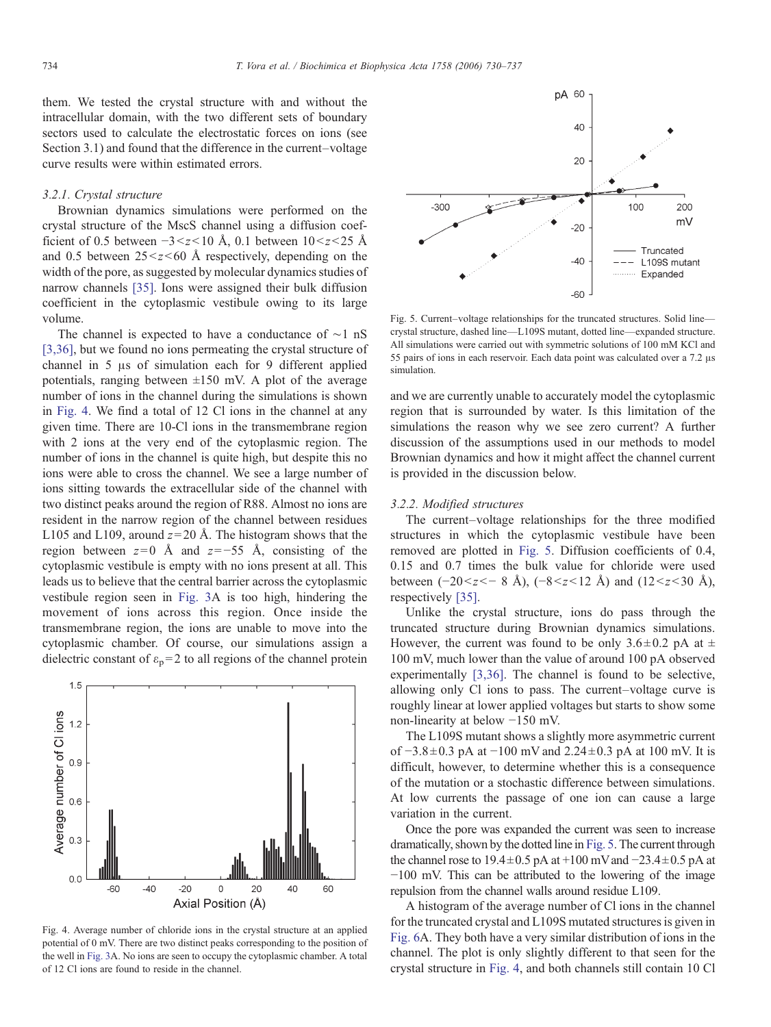them. We tested the crystal structure with and without the intracellular domain, with the two different sets of boundary sectors used to calculate the electrostatic forces on ions (see Section 3.1) and found that the difference in the current–voltage curve results were within estimated errors.

## 3.2.1. Crystal structure

Brownian dynamics simulations were performed on the crystal structure of the MscS channel using a diffusion coefficient of 0.5 between  $-3 < z < 10$  Å, 0.1 between  $10 < z < 25$  Å and 0.5 between  $25 \le z \le 60$  Å respectively, depending on the width of the pore, as suggested by molecular dynamics studies of narrow channels [\[35\].](#page-7-0) Ions were assigned their bulk diffusion coefficient in the cytoplasmic vestibule owing to its large volume.

The channel is expected to have a conductance of ∼1 nS [\[3,36\],](#page-6-0) but we found no ions permeating the crystal structure of channel in 5 μs of simulation each for 9 different applied potentials, ranging between  $\pm 150$  mV. A plot of the average number of ions in the channel during the simulations is shown in Fig. 4. We find a total of 12 Cl ions in the channel at any given time. There are 10-Cl ions in the transmembrane region with 2 ions at the very end of the cytoplasmic region. The number of ions in the channel is quite high, but despite this no ions were able to cross the channel. We see a large number of ions sitting towards the extracellular side of the channel with two distinct peaks around the region of R88. Almost no ions are resident in the narrow region of the channel between residues L105 and L109, around  $z=20$  Å. The histogram shows that the region between  $z=0$  Å and  $z=-55$  Å, consisting of the cytoplasmic vestibule is empty with no ions present at all. This leads us to believe that the central barrier across the cytoplasmic vestibule region seen in [Fig. 3](#page-3-0)A is too high, hindering the movement of ions across this region. Once inside the transmembrane region, the ions are unable to move into the cytoplasmic chamber. Of course, our simulations assign a dielectric constant of  $\varepsilon_p = 2$  to all regions of the channel protein



Fig. 4. Average number of chloride ions in the crystal structure at an applied potential of 0 mV. There are two distinct peaks corresponding to the position of the well in [Fig. 3](#page-3-0)A. No ions are seen to occupy the cytoplasmic chamber. A total of 12 Cl ions are found to reside in the channel.



Fig. 5. Current–voltage relationships for the truncated structures. Solid line crystal structure, dashed line—L109S mutant, dotted line—expanded structure. All simulations were carried out with symmetric solutions of 100 mM KCl and 55 pairs of ions in each reservoir. Each data point was calculated over a 7.2 μs simulation.

and we are currently unable to accurately model the cytoplasmic region that is surrounded by water. Is this limitation of the simulations the reason why we see zero current? A further discussion of the assumptions used in our methods to model Brownian dynamics and how it might affect the channel current is provided in the discussion below.

## 3.2.2. Modified structures

The current–voltage relationships for the three modified structures in which the cytoplasmic vestibule have been removed are plotted in Fig. 5. Diffusion coefficients of 0.4, 0.15 and 0.7 times the bulk value for chloride were used between (-20<z<- 8 Å), (-8<z<12 Å) and (12<z<30 Å), respectively [\[35\].](#page-7-0)

Unlike the crystal structure, ions do pass through the truncated structure during Brownian dynamics simulations. However, the current was found to be only  $3.6 \pm 0.2$  pA at  $\pm$ 100 mV, much lower than the value of around 100 pA observed experimentally [\[3,36\]](#page-6-0). The channel is found to be selective, allowing only Cl ions to pass. The current–voltage curve is roughly linear at lower applied voltages but starts to show some non-linearity at below −150 mV.

The L109S mutant shows a slightly more asymmetric current of  $-3.8 \pm 0.3$  pA at  $-100$  mV and  $2.24 \pm 0.3$  pA at 100 mV. It is difficult, however, to determine whether this is a consequence of the mutation or a stochastic difference between simulations. At low currents the passage of one ion can cause a large variation in the current.

Once the pore was expanded the current was seen to increase dramatically, shown by the dotted line in Fig. 5. The current through the channel rose to 19.4 $\pm$ 0.5 pA at +100 mV and  $-23.4 \pm 0.5$  pA at −100 mV. This can be attributed to the lowering of the image repulsion from the channel walls around residue L109.

A histogram of the average number of Cl ions in the channel for the truncated crystal and L109S mutated structures is given in [Fig. 6](#page-5-0)A. They both have a very similar distribution of ions in the channel. The plot is only slightly different to that seen for the crystal structure in Fig. 4, and both channels still contain 10 Cl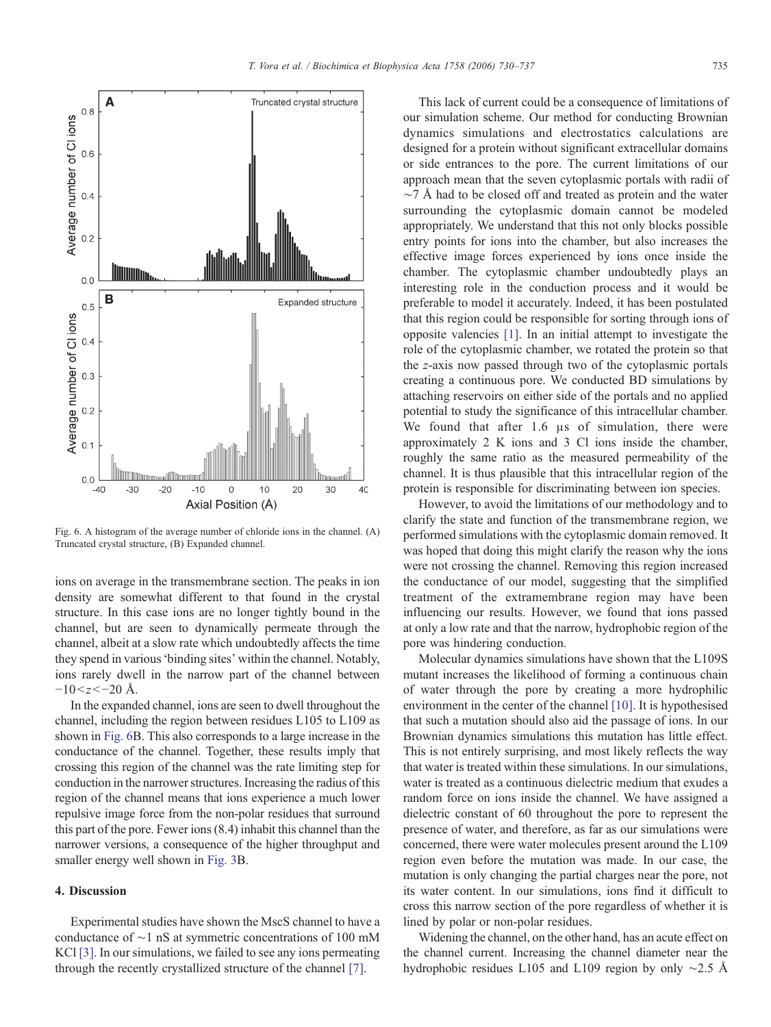<span id="page-5-0"></span>

Fig. 6. A histogram of the average number of chloride ions in the channel. (A) Truncated crystal structure, (B) Expanded channel.

ions on average in the transmembrane section. The peaks in ion density are somewhat different to that found in the crystal structure. In this case ions are no longer tightly bound in the channel, but are seen to dynamically permeate through the channel, albeit at a slow rate which undoubtedly affects the time they spend in various'binding sites' within the channel. Notably, ions rarely dwell in the narrow part of the channel between  $-10 < z < -20$  Å.

In the expanded channel, ions are seen to dwell throughout the channel, including the region between residues L105 to L109 as shown in Fig. 6B. This also corresponds to a large increase in the conductance of the channel. Together, these results imply that crossing this region of the channel was the rate limiting step for conduction in the narrower structures. Increasing the radius of this region of the channel means that ions experience a much lower repulsive image force from the non-polar residues that surround this part of the pore. Fewer ions (8.4) inhabit this channel than the narrower versions, a consequence of the higher throughput and smaller energy well shown in [Fig. 3](#page-3-0)B.

# 4. Discussion

Experimental studies have shown the MscS channel to have a conductance of ∼1 nS at symmetric concentrations of 100 mM KCl [\[3\]](#page-6-0). In our simulations, we failed to see any ions permeating through the recently crystallized structure of the channel [\[7\].](#page-6-0)

This lack of current could be a consequence of limitations of our simulation scheme. Our method for conducting Brownian dynamics simulations and electrostatics calculations are designed for a protein without significant extracellular domains or side entrances to the pore. The current limitations of our approach mean that the seven cytoplasmic portals with radii of  $\sim$ 7 Å had to be closed off and treated as protein and the water surrounding the cytoplasmic domain cannot be modeled appropriately. We understand that this not only blocks possible entry points for ions into the chamber, but also increases the effective image forces experienced by ions once inside the chamber. The cytoplasmic chamber undoubtedly plays an interesting role in the conduction process and it would be preferable to model it accurately. Indeed, it has been postulated that this region could be responsible for sorting through ions of opposite valencies [\[1\].](#page-6-0) In an initial attempt to investigate the role of the cytoplasmic chamber, we rotated the protein so that the z-axis now passed through two of the cytoplasmic portals creating a continuous pore. We conducted BD simulations by attaching reservoirs on either side of the portals and no applied potential to study the significance of this intracellular chamber. We found that after 1.6 μs of simulation, there were approximately 2 K ions and 3 Cl ions inside the chamber, roughly the same ratio as the measured permeability of the channel. It is thus plausible that this intracellular region of the protein is responsible for discriminating between ion species.

However, to avoid the limitations of our methodology and to clarify the state and function of the transmembrane region, we performed simulations with the cytoplasmic domain removed. It was hoped that doing this might clarify the reason why the ions were not crossing the channel. Removing this region increased the conductance of our model, suggesting that the simplified treatment of the extramembrane region may have been influencing our results. However, we found that ions passed at only a low rate and that the narrow, hydrophobic region of the pore was hindering conduction.

Molecular dynamics simulations have shown that the L109S mutant increases the likelihood of forming a continuous chain of water through the pore by creating a more hydrophilic environment in the center of the channel [\[10\].](#page-6-0) It is hypothesised that such a mutation should also aid the passage of ions. In our Brownian dynamics simulations this mutation has little effect. This is not entirely surprising, and most likely reflects the way that water is treated within these simulations. In our simulations, water is treated as a continuous dielectric medium that exudes a random force on ions inside the channel. We have assigned a dielectric constant of 60 throughout the pore to represent the presence of water, and therefore, as far as our simulations were concerned, there were water molecules present around the L109 region even before the mutation was made. In our case, the mutation is only changing the partial charges near the pore, not its water content. In our simulations, ions find it difficult to cross this narrow section of the pore regardless of whether it is lined by polar or non-polar residues.

Widening the channel, on the other hand, has an acute effect on the channel current. Increasing the channel diameter near the hydrophobic residues L105 and L109 region by only ∼2.5 Å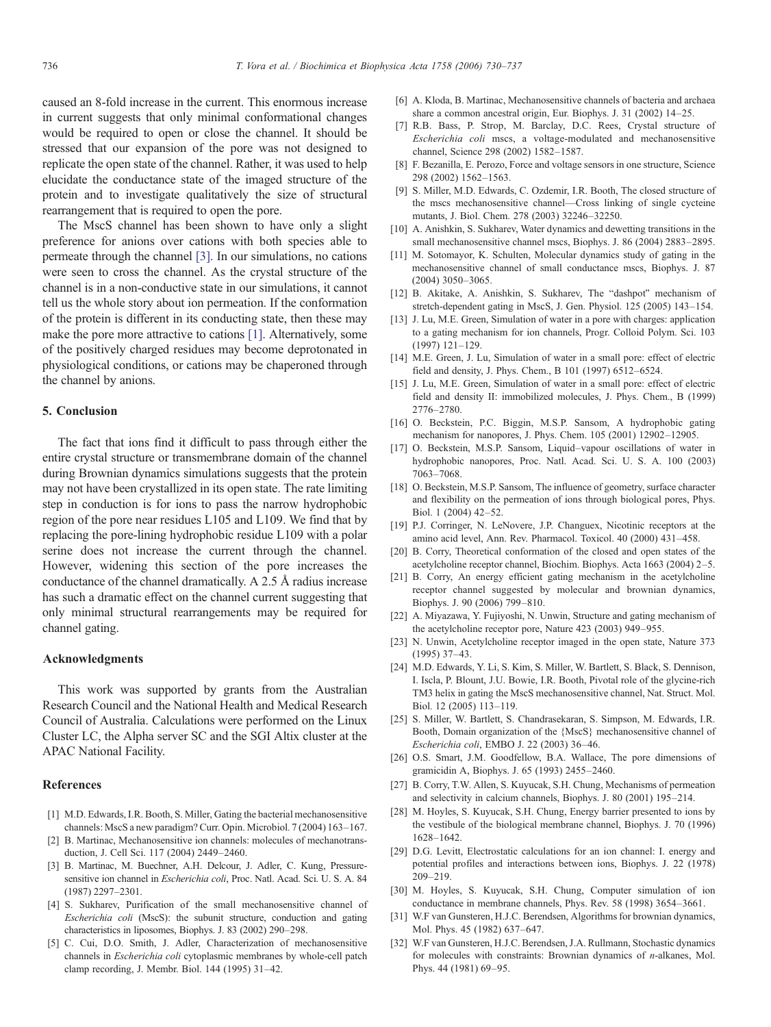<span id="page-6-0"></span>caused an 8-fold increase in the current. This enormous increase in current suggests that only minimal conformational changes would be required to open or close the channel. It should be stressed that our expansion of the pore was not designed to replicate the open state of the channel. Rather, it was used to help elucidate the conductance state of the imaged structure of the protein and to investigate qualitatively the size of structural rearrangement that is required to open the pore.

The MscS channel has been shown to have only a slight preference for anions over cations with both species able to permeate through the channel [3]. In our simulations, no cations were seen to cross the channel. As the crystal structure of the channel is in a non-conductive state in our simulations, it cannot tell us the whole story about ion permeation. If the conformation of the protein is different in its conducting state, then these may make the pore more attractive to cations [1]. Alternatively, some of the positively charged residues may become deprotonated in physiological conditions, or cations may be chaperoned through the channel by anions.

# 5. Conclusion

The fact that ions find it difficult to pass through either the entire crystal structure or transmembrane domain of the channel during Brownian dynamics simulations suggests that the protein may not have been crystallized in its open state. The rate limiting step in conduction is for ions to pass the narrow hydrophobic region of the pore near residues L105 and L109. We find that by replacing the pore-lining hydrophobic residue L109 with a polar serine does not increase the current through the channel. However, widening this section of the pore increases the conductance of the channel dramatically. A 2.5 Å radius increase has such a dramatic effect on the channel current suggesting that only minimal structural rearrangements may be required for channel gating.

### Acknowledgments

This work was supported by grants from the Australian Research Council and the National Health and Medical Research Council of Australia. Calculations were performed on the Linux Cluster LC, the Alpha server SC and the SGI Altix cluster at the APAC National Facility.

# References

- [1] M.D. Edwards, I.R. Booth, S. Miller, Gating the bacterial mechanosensitive channels: MscS a new paradigm? Curr. Opin. Microbiol. 7 (2004) 163–167.
- [2] B. Martinac, Mechanosensitive ion channels: molecules of mechanotransduction, J. Cell Sci. 117 (2004) 2449–2460.
- [3] B. Martinac, M. Buechner, A.H. Delcour, J. Adler, C. Kung, Pressuresensitive ion channel in Escherichia coli, Proc. Natl. Acad. Sci. U. S. A. 84 (1987) 2297–2301.
- [4] S. Sukharev, Purification of the small mechanosensitive channel of Escherichia coli (MscS): the subunit structure, conduction and gating characteristics in liposomes, Biophys. J. 83 (2002) 290–298.
- [5] C. Cui, D.O. Smith, J. Adler, Characterization of mechanosensitive channels in Escherichia coli cytoplasmic membranes by whole-cell patch clamp recording, J. Membr. Biol. 144 (1995) 31–42.
- [6] A. Kloda, B. Martinac, Mechanosensitive channels of bacteria and archaea share a common ancestral origin, Eur. Biophys. J. 31 (2002) 14–25.
- [7] R.B. Bass, P. Strop, M. Barclay, D.C. Rees, Crystal structure of Escherichia coli mscs, a voltage-modulated and mechanosensitive channel, Science 298 (2002) 1582–1587.
- [8] F. Bezanilla, E. Perozo, Force and voltage sensors in one structure, Science 298 (2002) 1562–1563.
- [9] S. Miller, M.D. Edwards, C. Ozdemir, I.R. Booth, The closed structure of the mscs mechanosensitive channel—Cross linking of single cycteine mutants, J. Biol. Chem. 278 (2003) 32246–32250.
- [10] A. Anishkin, S. Sukharev, Water dynamics and dewetting transitions in the small mechanosensitive channel mscs, Biophys. J. 86 (2004) 2883–2895.
- [11] M. Sotomayor, K. Schulten, Molecular dynamics study of gating in the mechanosensitive channel of small conductance mscs, Biophys. J. 87 (2004) 3050–3065.
- [12] B. Akitake, A. Anishkin, S. Sukharev, The "dashpot" mechanism of stretch-dependent gating in MscS, J. Gen. Physiol. 125 (2005) 143–154.
- [13] J. Lu, M.E. Green, Simulation of water in a pore with charges: application to a gating mechanism for ion channels, Progr. Colloid Polym. Sci. 103 (1997) 121–129.
- [14] M.E. Green, J. Lu, Simulation of water in a small pore: effect of electric field and density, J. Phys. Chem., B 101 (1997) 6512–6524.
- [15] J. Lu, M.E. Green, Simulation of water in a small pore: effect of electric field and density II: immobilized molecules, J. Phys. Chem., B (1999) 2776–2780.
- [16] O. Beckstein, P.C. Biggin, M.S.P. Sansom, A hydrophobic gating mechanism for nanopores, J. Phys. Chem. 105 (2001) 12902–12905.
- [17] O. Beckstein, M.S.P. Sansom, Liquid–vapour oscillations of water in hydrophobic nanopores, Proc. Natl. Acad. Sci. U. S. A. 100 (2003) 7063–7068.
- [18] O. Beckstein, M.S.P. Sansom, The influence of geometry, surface character and flexibility on the permeation of ions through biological pores, Phys. Biol. 1 (2004) 42–52.
- [19] P.J. Corringer, N. LeNovere, J.P. Changuex, Nicotinic receptors at the amino acid level, Ann. Rev. Pharmacol. Toxicol. 40 (2000) 431–458.
- B. Corry, Theoretical conformation of the closed and open states of the acetylcholine receptor channel, Biochim. Biophys. Acta 1663 (2004) 2–5.
- [21] B. Corry, An energy efficient gating mechanism in the acetylcholine receptor channel suggested by molecular and brownian dynamics, Biophys. J. 90 (2006) 799–810.
- [22] A. Miyazawa, Y. Fujiyoshi, N. Unwin, Structure and gating mechanism of the acetylcholine receptor pore, Nature 423 (2003) 949–955.
- [23] N. Unwin, Acetylcholine receptor imaged in the open state, Nature 373 (1995) 37–43.
- [24] M.D. Edwards, Y. Li, S. Kim, S. Miller, W. Bartlett, S. Black, S. Dennison, I. Iscla, P. Blount, J.U. Bowie, I.R. Booth, Pivotal role of the glycine-rich TM3 helix in gating the MscS mechanosensitive channel, Nat. Struct. Mol. Biol. 12 (2005) 113–119.
- [25] S. Miller, W. Bartlett, S. Chandrasekaran, S. Simpson, M. Edwards, I.R. Booth, Domain organization of the {MscS} mechanosensitive channel of Escherichia coli, EMBO J. 22 (2003) 36–46.
- [26] O.S. Smart, J.M. Goodfellow, B.A. Wallace, The pore dimensions of gramicidin A, Biophys. J. 65 (1993) 2455–2460.
- [27] B. Corry, T.W. Allen, S. Kuyucak, S.H. Chung, Mechanisms of permeation and selectivity in calcium channels, Biophys. J. 80 (2001) 195–214.
- [28] M. Hoyles, S. Kuyucak, S.H. Chung, Energy barrier presented to ions by the vestibule of the biological membrane channel, Biophys. J. 70 (1996) 1628–1642.
- [29] D.G. Levitt, Electrostatic calculations for an ion channel: I. energy and potential profiles and interactions between ions, Biophys. J. 22 (1978) 209–219.
- [30] M. Hoyles, S. Kuyucak, S.H. Chung, Computer simulation of ion conductance in membrane channels, Phys. Rev. 58 (1998) 3654–3661.
- [31] W.F van Gunsteren, H.J.C. Berendsen, Algorithms for brownian dynamics, Mol. Phys. 45 (1982) 637–647.
- [32] W.F van Gunsteren, H.J.C. Berendsen, J.A. Rullmann, Stochastic dynamics for molecules with constraints: Brownian dynamics of n-alkanes, Mol. Phys. 44 (1981) 69–95.